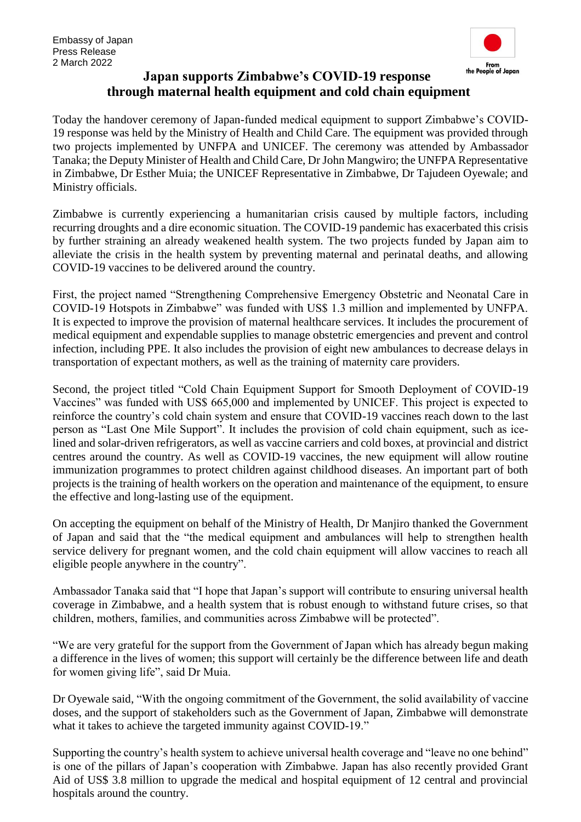

## **Japan supports Zimbabwe's COVID-19 response through maternal health equipment and cold chain equipment**

Today the handover ceremony of Japan-funded medical equipment to support Zimbabwe's COVID-19 response was held by the Ministry of Health and Child Care. The equipment was provided through two projects implemented by UNFPA and UNICEF. The ceremony was attended by Ambassador Tanaka; the Deputy Minister of Health and Child Care, Dr John Mangwiro; the UNFPA Representative in Zimbabwe, Dr Esther Muia; the UNICEF Representative in Zimbabwe, Dr Tajudeen Oyewale; and Ministry officials.

Zimbabwe is currently experiencing a humanitarian crisis caused by multiple factors, including recurring droughts and a dire economic situation. The COVID-19 pandemic has exacerbated this crisis by further straining an already weakened health system. The two projects funded by Japan aim to alleviate the crisis in the health system by preventing maternal and perinatal deaths, and allowing COVID-19 vaccines to be delivered around the country.

First, the project named "Strengthening Comprehensive Emergency Obstetric and Neonatal Care in COVID-19 Hotspots in Zimbabwe" was funded with US\$ 1.3 million and implemented by UNFPA. It is expected to improve the provision of maternal healthcare services. It includes the procurement of medical equipment and expendable supplies to manage obstetric emergencies and prevent and control infection, including PPE. It also includes the provision of eight new ambulances to decrease delays in transportation of expectant mothers, as well as the training of maternity care providers.

Second, the project titled "Cold Chain Equipment Support for Smooth Deployment of COVID-19 Vaccines" was funded with US\$ 665,000 and implemented by UNICEF. This project is expected to reinforce the country's cold chain system and ensure that COVID-19 vaccines reach down to the last person as "Last One Mile Support". It includes the provision of cold chain equipment, such as icelined and solar-driven refrigerators, as well as vaccine carriers and cold boxes, at provincial and district centres around the country. As well as COVID-19 vaccines, the new equipment will allow routine immunization programmes to protect children against childhood diseases. An important part of both projects is the training of health workers on the operation and maintenance of the equipment, to ensure the effective and long-lasting use of the equipment.

On accepting the equipment on behalf of the Ministry of Health, Dr Manjiro thanked the Government of Japan and said that the "the medical equipment and ambulances will help to strengthen health service delivery for pregnant women, and the cold chain equipment will allow vaccines to reach all eligible people anywhere in the country".

Ambassador Tanaka said that "I hope that Japan's support will contribute to ensuring universal health coverage in Zimbabwe, and a health system that is robust enough to withstand future crises, so that children, mothers, families, and communities across Zimbabwe will be protected".

"We are very grateful for the support from the Government of Japan which has already begun making a difference in the lives of women; this support will certainly be the difference between life and death for women giving life", said Dr Muia.

Dr Oyewale said, "With the ongoing commitment of the Government, the solid availability of vaccine doses, and the support of stakeholders such as the Government of Japan, Zimbabwe will demonstrate what it takes to achieve the targeted immunity against COVID-19."

Supporting the country's health system to achieve universal health coverage and "leave no one behind" is one of the pillars of Japan's cooperation with Zimbabwe. Japan has also recently provided Grant Aid of US\$ 3.8 million to upgrade the medical and hospital equipment of 12 central and provincial hospitals around the country.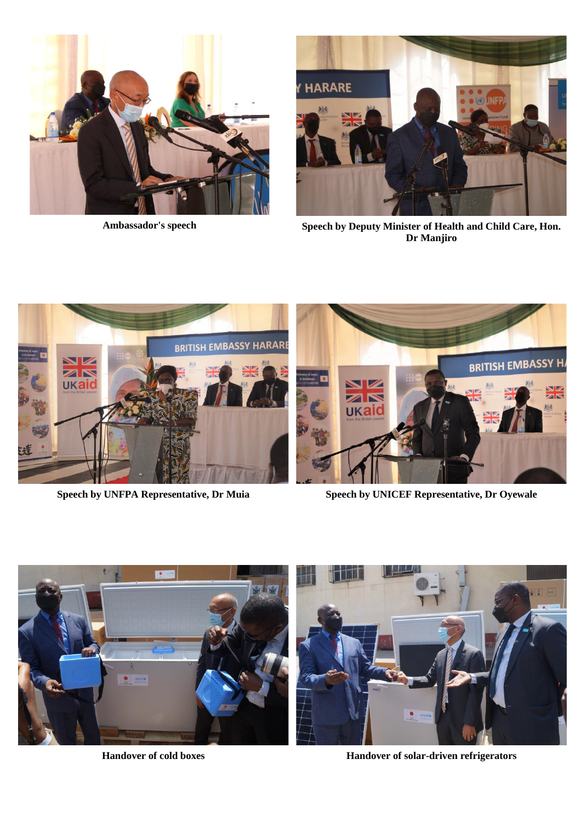



**Ambassador's speech Speech by Deputy Minister of Health and Child Care, Hon. Dr Manjiro**



**Speech by UNFPA Representative, Dr Muia Speech by UNICEF Representative, Dr Oyewale**



**Handover of cold boxes Handover of solar-driven refrigerators**